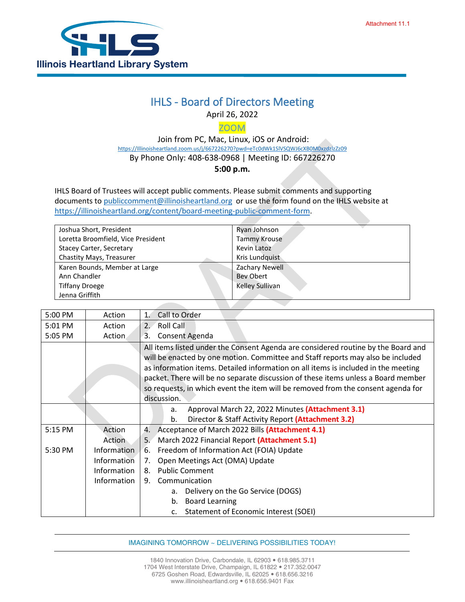

## IHLS - Board of Directors Meeting

April 26, 2022

ZOOM

 Join from PC, Mac, Linux, iOS or Android: [https://Illinoisheartland.zoom.us/j/667226270?pwd=eTc0dWk1SlVSQWJ6cXB0M0xzdzlzZz09](https://illinoisheartland.zoom.us/j/667226270?pwd=eTc0dWk1SlVSQWJ6cXB0M0xzdzlzZz09) By Phone Only: 408-638-0968 | Meeting ID: 667226270

**5:00 p.m.** 

IHLS Board of Trustees will accept public comments. Please submit comments and supporting documents t[o publiccomment@illinoisheartland.org](mailto:publiccomment@illinoisheartland.org) or use the form found on the IHLS website at [https://illinoisheartland.org/content/board-meeting-public-comment-form.](https://illinoisheartland.org/content/board-meeting-public-comment-form)

| Joshua Short, President            | Ryan Johnson        |
|------------------------------------|---------------------|
| Loretta Broomfield, Vice President | <b>Tammy Krouse</b> |
| Stacey Carter, Secretary           | Kevin Latoz         |
| Chastity Mays, Treasurer           | Kris Lundquist      |
| Karen Bounds, Member at Large      | Zachary Newell      |
| Ann Chandler                       | Bey Obert           |
| <b>Tiffany Droege</b>              | Kelley Sullivan     |
| Jenna Griffith                     |                     |

| 5:00 PM | Action        | Call to Order<br>1.                                                                |  |
|---------|---------------|------------------------------------------------------------------------------------|--|
| 5:01 PM | Action        | Roll Call<br>2.7                                                                   |  |
| 5:05 PM | <b>Action</b> | Consent Agenda<br>3.                                                               |  |
|         |               | All items listed under the Consent Agenda are considered routine by the Board and  |  |
|         |               | will be enacted by one motion. Committee and Staff reports may also be included    |  |
|         |               | as information items. Detailed information on all items is included in the meeting |  |
|         |               | packet. There will be no separate discussion of these items unless a Board member  |  |
|         |               | so requests, in which event the item will be removed from the consent agenda for   |  |
|         |               | discussion.                                                                        |  |
|         |               | Approval March 22, 2022 Minutes (Attachment 3.1)<br>a.                             |  |
|         |               | Director & Staff Activity Report (Attachment 3.2)<br>b.                            |  |
| 5:15 PM | Action        | Acceptance of March 2022 Bills (Attachment 4.1)<br>4.                              |  |
|         | Action        | March 2022 Financial Report (Attachment 5.1)<br>5.                                 |  |
| 5:30 PM | Information   | Freedom of Information Act (FOIA) Update<br>6.                                     |  |
|         | Information   | Open Meetings Act (OMA) Update<br>7.                                               |  |
|         | Information   | <b>Public Comment</b><br>8.                                                        |  |
|         | Information   | Communication<br>9.                                                                |  |
|         |               | Delivery on the Go Service (DOGS)<br>а.                                            |  |
|         |               | <b>Board Learning</b><br>b.                                                        |  |
|         |               | Statement of Economic Interest (SOEI)<br>$\mathsf{C}$ .                            |  |

IMAGINING TOMORROW ~ DELIVERING POSSIBILITIES TODAY!